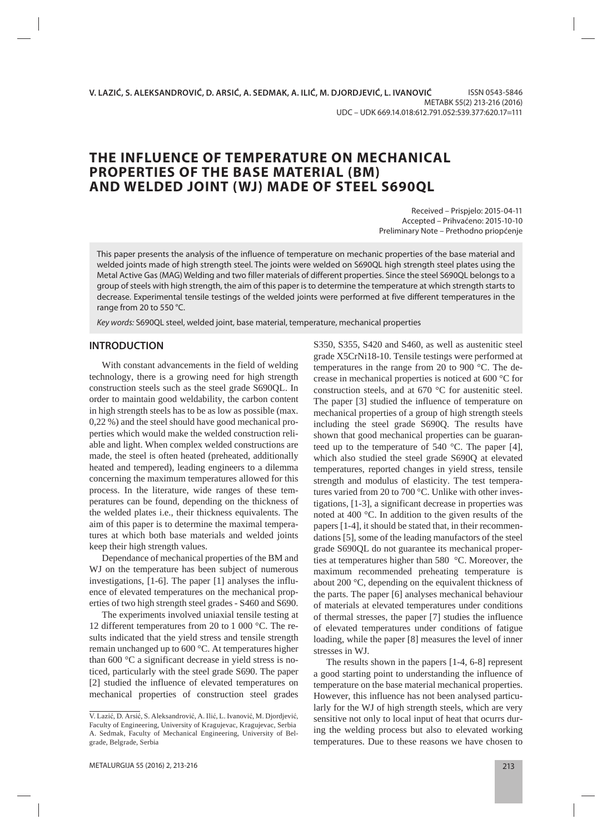# **THE INFLUENCE OF TEMPERATURE ON MECHANICAL PROPERTIES OF THE BASE MATERIAL (BM) AND WELDED JOINT (WJ) MADE OF STEEL S690QL**

Received – Prispjelo: 2015-04-11 Accepted – Prihvaćeno: 2015-10-10 Preliminary Note – Prethodno priopćenje

This paper presents the analysis of the influence of temperature on mechanic properties of the base material and welded joints made of high strength steel. The joints were welded on S690QL high strength steel plates using the Metal Active Gas (MAG) Welding and two filler materials of different properties. Since the steel S690QL belongs to a group of steels with high strength, the aim of this paper is to determine the temperature at which strength starts to decrease. Experimental tensile testings of the welded joints were performed at five different temperatures in the range from 20 to 550 °C.

Key words: S690QL steel, welded joint, base material, temperature, mechanical properties

### **INTRODUCTION**

With constant advancements in the field of welding technology, there is a growing need for high strength construction steels such as the steel grade S690QL. In order to maintain good weldability, the carbon content in high strength steels has to be as low as possible (max. 0,22 %) and the steel should have good mechanical properties which would make the welded construction reliable and light. When complex welded constructions are made, the steel is often heated (preheated, additionally heated and tempered), leading engineers to a dilemma concerning the maximum temperatures allowed for this process. In the literature, wide ranges of these temperatures can be found, depending on the thickness of the welded plates i.e., their thickness equivalents. The aim of this paper is to determine the maximal temperatures at which both base materials and welded joints keep their high strength values.

Dependance of mechanical properties of the BM and WJ on the temperature has been subject of numerous investigations, [1-6]. The paper [1] analyses the influence of elevated temperatures on the mechanical properties of two high strength steel grades - S460 and S690.

The experiments involved uniaxial tensile testing at 12 different temperatures from 20 to 1 000 °C. The results indicated that the yield stress and tensile strength remain unchanged up to 600 °C. At temperatures higher than 600 °C a significant decrease in yield stress is noticed, particularly with the steel grade S690. The paper [2] studied the influence of elevated temperatures on mechanical properties of construction steel grades

S350, S355, S420 and S460, as well as austenitic steel grade X5CrNi18-10. Tensile testings were performed at temperatures in the range from 20 to 900 °C. The decrease in mechanical properties is noticed at 600 °C for construction steels, and at 670 °C for austenitic steel. The paper [3] studied the influence of temperature on mechanical properties of a group of high strength steels including the steel grade S690Q. The results have shown that good mechanical properties can be guaranteed up to the temperature of 540 °C. The paper [4], which also studied the steel grade S690Q at elevated temperatures, reported changes in yield stress, tensile strength and modulus of elasticity. The test temperatures varied from 20 to 700 °C. Unlike with other investigations, [1-3], a significant decrease in properties was noted at 400 °C. In addition to the given results of the papers [1-4], it should be stated that, in their recommendations [5], some of the leading manufactors of the steel grade S690QL do not guarantee its mechanical properties at temperatures higher than 580 °C. Moreover, the maximum recommended preheating temperature is about 200 °C, depending on the equivalent thickness of the parts. The paper [6] analyses mechanical behaviour of materials at elevated temperatures under conditions of thermal stresses, the paper [7] studies the influence of elevated temperatures under conditions of fatigue loading, while the paper [8] measures the level of inner stresses in WJ.

The results shown in the papers [1-4, 6-8] represent a good starting point to understanding the influence of temperature on the base material mechanical properties. However, this influence has not been analysed particularly for the WJ of high strength steels, which are very sensitive not only to local input of heat that ocurrs during the welding process but also to elevated working temperatures. Due to these reasons we have chosen to

V. Lazić, D. Arsić, S. Aleksandrović, A. Ilić, L. Ivanović, M. Djordjević, Faculty of Engineering, University of Kragujevac, Kragujevac, Serbia A. Sedmak, Faculty of Mechanical Engineering, University of Belgrade, Belgrade, Serbia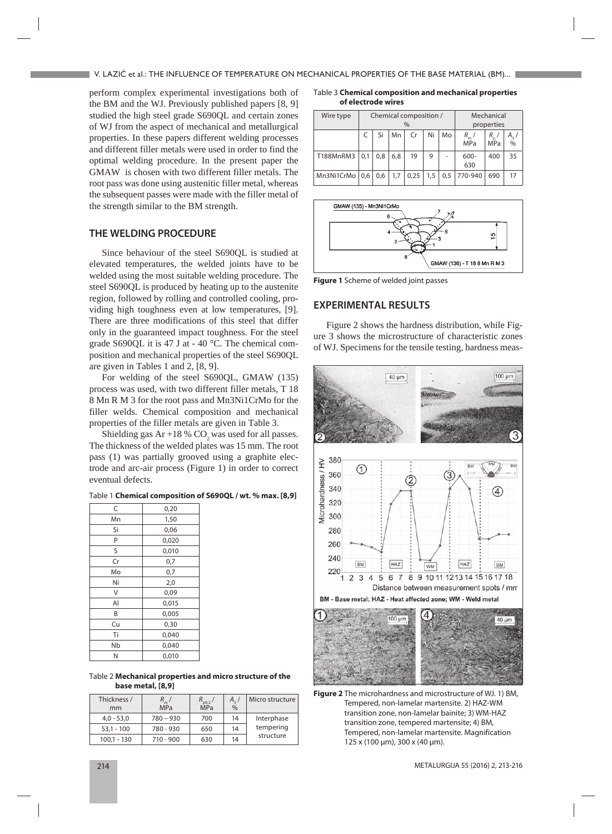perform complex experimental investigations both of the BM and the WJ. Previously published papers [8, 9] studied the high steel grade S690QL and certain zones of WJ from the aspect of mechanical and metallurgical properties. In these papers different welding processes and different filler metals were used in order to find the optimal welding procedure. In the present paper the GMAW is chosen with two different filler metals. The root pass was done using austenitic filler metal, whereas the subsequent passes were made with the filler metal of the strength similar to the BM strength.

## **THE WELDING PROCEDURE**

Since behaviour of the steel S690OL is studied at elevated temperatures, the welded joints have to be welded using the most suitable welding procedure. The steel S690QL is produced by heating up to the austenite region, followed by rolling and controlled cooling, providing high toughness even at low temperatures, [9]. There are three modifications of this steel that differ only in the guaranteed impact toughness. For the steel grade S690QL it is 47 J at - 40 °C. The chemical composition and mechanical properties of the steel S690QL are given in Tables 1 and 2, [8, 9].

For welding of the steel S690QL, GMAW (135) process was used, with two different filler metals, T 18 8 Mn R M 3 for the root pass and Mn3Ni1CrMo for the filler welds. Chemical composition and mechanical properties of the filler metals are given in Table 3.

Shielding gas  $Ar +18 % CO$ , was used for all passes. The thickness of the welded plates was 15 mm. The root pass (1) was partially grooved using a graphite electrode and arc-air process (Figure 1) in order to correct eventual defects.

|  |  | Table 1 Chemical composition of S690QL / wt. % max. [8,9] |  |  |  |
|--|--|-----------------------------------------------------------|--|--|--|
|--|--|-----------------------------------------------------------|--|--|--|

| C  | 0,20  |
|----|-------|
| Mn | 1,50  |
| Si | 0,06  |
| P  | 0,020 |
| S  | 0,010 |
| Cr | 0,7   |
| Mo | 0,7   |
| Ni | 2,0   |
| V  | 0,09  |
| Al | 0,015 |
| B  | 0,005 |
| Cu | 0,30  |
| Ti | 0,040 |
| Nb | 0,040 |
| N  | 0,010 |

Table 2 **Mechanical properties and micro structure of the base metal, [8,9]**

| Thickness /<br>mm | <b>MPa</b>  | $R_{p0.2}$<br>MPa | $A_{\varepsilon}$ /<br>$\frac{0}{0}$ | Micro structure |
|-------------------|-------------|-------------------|--------------------------------------|-----------------|
| $4,0 - 53,0$      | $780 - 930$ | 700               | 14                                   | Interphase      |
| $53,1 - 100$      | 780 - 930   | 650               | 14                                   | tempering       |
| $100,1 - 130$     | $710 - 900$ | 630               | 14                                   | structure       |

Table 3 **Chemical composition and mecha nical properties of electrode wires**

| Wire type        |     | Chemical composition /<br>$\frac{0}{0}$ |     |      |     |     | Mechanical<br>properties |                 |               |
|------------------|-----|-----------------------------------------|-----|------|-----|-----|--------------------------|-----------------|---------------|
|                  |     | Si                                      | Mn  | Cr   | Ni  | Mo  | $R_{m}$<br><b>MPa</b>    | R<br><b>MPa</b> | $\frac{9}{6}$ |
| T188MnRM3        | 0,1 | 0,8                                     | 6,8 | 19   | 9   |     | $600 -$<br>630           | 400             | 35            |
| Mn3Ni1CrMo   0,6 |     | 0,6                                     | 1,7 | 0,25 | 1,5 | 0,5 | 770-940                  | 690             | 17            |



**Figure 1** Scheme of welded joint passes

#### **EXPERIMENTAL RESULTS**

Figure 2 shows the hardness distribution, while Figure 3 shows the microstructure of characteristic zones of WJ. Specimens for the tensile testing, hardness meas-



**Figure 2** The microhardness and microstructure of WJ. 1) BM, Tempered, non-lamelar martensite. 2) HAZ-WM transition zone, non-lamelar bainite; 3) WM-HAZ transition zone, tempered martensite; 4) BM, Tempered, non-lamelar martensite. Magnification 125 x (100 μm), 300 x (40 μm).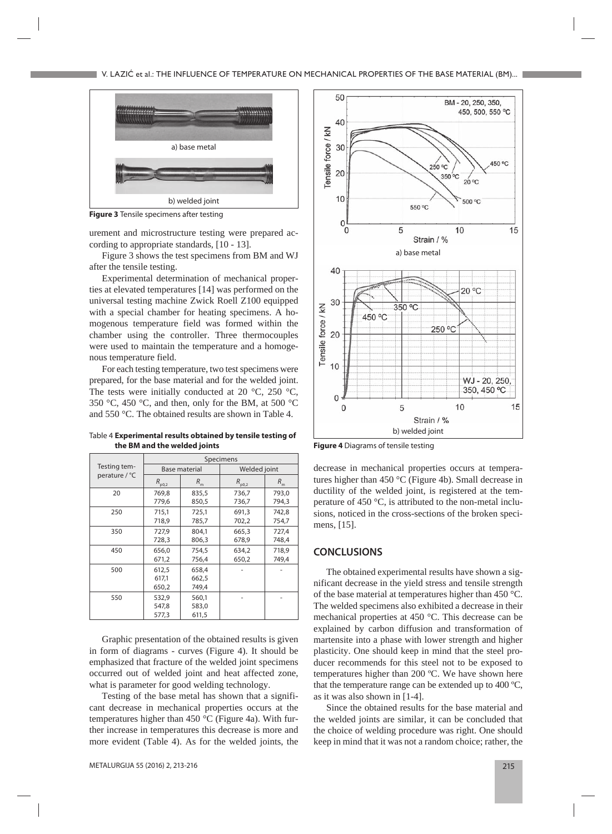

**Figure 3** Tensile specimens after testing

urement and microstructure testing were prepared according to appropriate standards, [10 - 13].

Figure 3 shows the test specimens from BM and WJ after the tensile testing.

Experimental determination of mechanical properties at elevated temperatures [14] was performed on the universal testing machine Zwick Roell Z100 equipped with a special chamber for heating specimens. A homogenous temperature field was formed within the chamber using the controller. Three thermocouples were used to maintain the temperature and a homogenous temperature field.

For each testing temperature, two test specimens were prepared, for the base material and for the welded joint. The tests were initially conducted at 20  $\degree$ C, 250  $\degree$ C, 350 °C, 450 °C, and then, only for the BM, at 500 °C and 550 °C. The obtained results are shown in Table 4.

Table 4 **Experimental results obtained by tensile testing of the BM and the welded joints** 

|               | Specimens      |                      |                                                                                   |         |  |  |  |
|---------------|----------------|----------------------|-----------------------------------------------------------------------------------|---------|--|--|--|
| Testing tem-  |                | <b>Base material</b> | Welded joint                                                                      |         |  |  |  |
| perature / °C | $R_{\rm p0,2}$ | R<br>'n              | R<br>p0,2<br>736,7<br>736,7<br>691.3<br>702,2<br>665,3<br>678,9<br>634,2<br>650,2 | $R_{m}$ |  |  |  |
| 20            | 769,8          | 835,5                |                                                                                   | 793,0   |  |  |  |
|               | 779,6          | 850,5                |                                                                                   | 794,3   |  |  |  |
| 250           | 715,1          | 725,1                |                                                                                   | 742,8   |  |  |  |
|               | 718,9          | 785,7                |                                                                                   | 754,7   |  |  |  |
| 350           | 727,9          | 804.1                |                                                                                   | 727,4   |  |  |  |
|               | 728,3          | 806,3                |                                                                                   | 748,4   |  |  |  |
| 450           | 656,0          | 754,5                |                                                                                   | 718,9   |  |  |  |
|               | 671,2          | 756,4                |                                                                                   | 749,4   |  |  |  |
| 500           | 612,5          | 658.4                |                                                                                   |         |  |  |  |
|               | 617,1          | 662,5                |                                                                                   |         |  |  |  |
|               | 650,2          | 749,4                |                                                                                   |         |  |  |  |
| 550           | 532,9          | 560,1                |                                                                                   |         |  |  |  |
|               | 547,8          | 583,0                |                                                                                   |         |  |  |  |
|               | 577,3          | 611,5                |                                                                                   |         |  |  |  |

Graphic presentation of the obtained results is given in form of diagrams - curves (Figure 4). It should be emphasized that fracture of the welded joint specimens occurred out of welded joint and heat affected zone, what is parameter for good welding technology.

Testing of the base metal has shown that a significant decrease in mechanical properties occurs at the temperatures higher than 450 °C (Figure 4a). With further increase in temperatures this decrease is more and more evident (Table 4). As for the welded joints, the



**Figure 4** Diagrams of tensile testing

decrease in mechanical properties occurs at temperatures higher than 450 °C (Figure 4b). Small decrease in ductility of the welded joint, is registered at the temperature of 450 °C, is attributed to the non-metal inclusions, noticed in the cross-sections of the broken specimens, [15].

#### **CONCLUSIONS**

The obtained experimental results have shown a significant decrease in the yield stress and tensile strength of the base material at temperatures higher than 450 °C. The welded specimens also exhibited a decrease in their mechanical properties at 450 °C. This decrease can be explained by carbon diffusion and transformation of martensite into a phase with lower strength and higher plasticity. One should keep in mind that the steel producer recommends for this steel not to be exposed to temperatures higher than 200 ºC. We have shown here that the temperature range can be extended up to 400 ºC, as it was also shown in [1-4].

Since the obtained results for the base material and the welded joints are similar, it can be concluded that the choice of welding procedure was right. One should keep in mind that it was not a random choice; rather, the